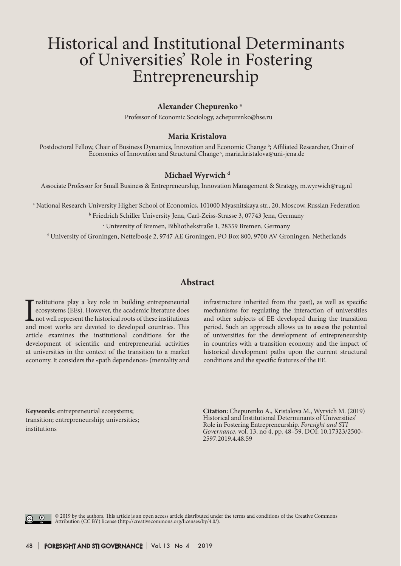# Historical and Institutional Determinants of Universities' Role in Fostering Entrepreneurship

### **Alexander Chepurenko a**

Professor of Economic Sociology, achepurenko@hse.ru

#### **Maria Kristalova**

Postdoctoral Fellow, Chair of Business Dynamics, Innovation and Economic Change <sup>b</sup>; Affiliated Researcher, Chair of Economics of Innovation and Structural Change  $\cdot$ , maria.kristalova@uni-jena.de

### **Michael Wyrwich d**

Associate Professor for Small Business & Entrepreneurship, Innovation Management & Strategy, m.wyrwich@rug.nl

a National Research University Higher School of Economics, 101000 Myasnitskaya str., 20, Moscow, Russian Federation

b Friedrich Schiller University Jena, Carl-Zeiss-Strasse 3, 07743 Jena, Germany

c University of Bremen, Bibliothekstraße 1, 28359 Bremen, Germany

d University of Groningen, Nettelbosje 2, 9747 AE Groningen, PO Box 800, 9700 AV Groningen, Netherlands

## **Abstract**

Institutions play a key role in building entrepreneurial ecosystems (EEs). However, the academic literature does not well represent the historical roots of these institutions and most works are devoted to developed countri nstitutions play a key role in building entrepreneurial ecosystems (EEs). However, the academic literature does not well represent the historical roots of these institutions article examines the institutional conditions for the development of scientific and entrepreneurial activities at universities in the context of the transition to a market economy. It considers the «path dependence» (mentality and

infrastructure inherited from the past), as well as specific mechanisms for regulating the interaction of universities and other subjects of EE developed during the transition period. Such an approach allows us to assess the potential of universities for the development of entrepreneurship in countries with a transition economy and the impact of historical development paths upon the current structural conditions and the specific features of the EE.

**Кeywords:** entrepreneurial ecosystems; transition; entrepreneurship; universities; institutions

**Citation:** Chepurenko A., Kristalova M., Wyrvich M. (2019) Historical and Institutional Determinants of Universities' Role in Fostering Entrepreneurship. *Foresight and STI Governance*, vol. 13, no 4, pp. 48–59. DOI: 10.17323/2500- 2597.2019.4.48.59

<u>ි ග</u>

© 2019 by the authors. This article is an open access article distributed under the terms and conditions of the Creative Commons Attribution (CC BY) license (http://creativecommons.org/licenses/by/4.0/).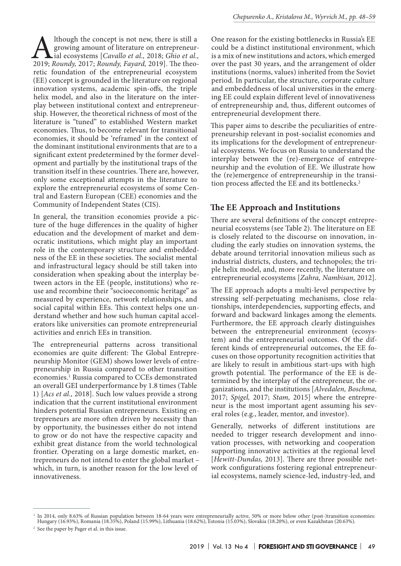Although the concept is not new, there is still a growing amount of literature on entrepreneur-<br>ial ecosystems [*Cavallo et al.*, 2018; *Ghio et al.*, 2019; *Roundy,* 2017; *Roundy, Fayard*, 2019]. The theogrowing amount of literature on entrepreneurial ecosystems [*Cavallo et al.,* 2018; *Ghio et al.,* retic foundation of the entrepreneurial ecosystem (EE) concept is grounded in the literature on regional innovation systems, academic spin-offs, the triple helix model, and also in the literature on the interplay between institutional context and entrepreneurship. However, the theoretical richness of most of the literature is "tuned" to established Western market economies. Thus, to become relevant for transitional economies, it should be 'reframed' in the context of the dominant institutional environments that are to a significant extent predetermined by the former development and partially by the institutional traps of the transition itself in these countries. There are, however, only some exceptional attempts in the literature to explore the entrepreneurial ecosystems of some Central and Eastern European (CEE) economies and the Community of Independent States (CIS).

In general, the transition economies provide a picture of the huge differences in the quality of higher education and the development of market and democratic institutions, which might play an important role in the contemporary structure and embeddedness of the EE in these societies. The socialist mental and infrastructural legacy should be still taken into consideration when speaking about the interplay between actors in the EE (people, institutions) who reuse and recombine their "socioeconomic heritage" as measured by experience, network relationships, and social capital within EEs. This context helps one understand whether and how such human capital accelerators like universities can promote entrepreneurial activities and enrich EEs in transition.

The entrepreneurial patterns across transitional economies are quite different: The Global Entrepreneurship Monitor (GEM) shows lower levels of entrepreneurship in Russia compared to other transition economies.1 Russia compared to CCEs demonstrated an overall GEI underperformance by 1.8 times (Table 1) [*Acs et al.,* 2018]. Such low values provide a strong indication that the current institutional environment hinders potential Russian entrepreneurs. Existing entrepreneurs are more often driven by necessity than by opportunity, the businesses either do not intend to grow or do not have the respective capacity and exhibit great distance from the world technological frontier. Operating on a large domestic market, entrepreneurs do not intend to enter the global market – which, in turn, is another reason for the low level of innovativeness.

One reason for the existing bottlenecks in Russia's EE could be a distinct institutional environment, which is a mix of new institutions and actors, which emerged over the past 30 years, and the arrangement of older institutions (norms, values) inherited from the Soviet period. In particular, the structure, corporate culture and embeddedness of local universities in the emerging EE could explain different level of innovativeness of entrepreneurship and, thus, different outcomes of entrepreneurial development there.

This paper aims to describe the peculiarities of entrepreneurship relevant in post-socialist economies and its implications for the development of entrepreneurial ecosystems. We focus on Russia to understand the interplay between the (re)-emergence of entrepreneurship and the evolution of EE. We illustrate how the (re)emergence of entrepreneurship in the transition process affected the EE and its bottlenecks.<sup>2</sup>

# **The EE Approach and Institutions**

There are several definitions of the concept entrepreneurial ecosystems (see Table 2). The literature on EE is closely related to the discourse on innovation, including the early studies on innovation systems, the debate around territorial innovation milieus such as industrial districts, clusters, and technopoles; the triple helix model, and, more recently, the literature on entrepreneurial ecosystems [*Zahra, Nambisan,* 2012].

The EE approach adopts a multi-level perspective by stressing self-perpetuating mechanisms, close relationships, interdependencies, supporting effects, and forward and backward linkages among the elements. Furthermore, the EE approach clearly distinguishes between the entrepreneurial environment (ecosystem) and the entrepreneurial outcomes. Of the different kinds of entrepreneurial outcomes, the EE focuses on those opportunity recognition activities that are likely to result in ambitious start-ups with high growth potential. The performance of the EE is determined by the interplay of the entrepreneur, the organizations, and the institutions [*Alvedalen, Boschma,* 2017; *Spigel,* 2017; *Stam,* 2015] where the entrepreneur is the most important agent assuming his several roles (e.g., leader, mentor, and investor).

Generally, networks of different institutions are needed to trigger research development and innovation processes, with networking and cooperation supporting innovative activities at the regional level [*Hewitt-Dundas,* 2013]. There are three possible network configurations fostering regional entrepreneurial ecosystems, namely science-led, industry-led, and

<sup>&</sup>lt;sup>1</sup> In 2014, only 8.63% of Russian population between 18-64 years were entrepreneurially active, 50% or more below other (post-)transition economies: Hungary (16.93%), Romania (18.35%), Poland (15.99%), Lithuania (18.62%), Estonia (15.03%), Slovakia (18.20%), or even Kazakhstan (20.63%).

<sup>2</sup> See the paper by Pager et al. in this issue.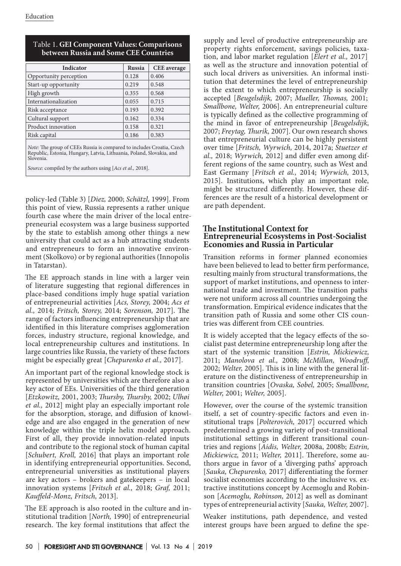| Indicator                                                                                                                                     | <b>Russia</b> | <b>CEE</b> average |  |
|-----------------------------------------------------------------------------------------------------------------------------------------------|---------------|--------------------|--|
| Opportunity perception                                                                                                                        | 0.128         | 0.406              |  |
| Start-up opportunity                                                                                                                          | 0.219         | 0.548              |  |
| High growth                                                                                                                                   | 0.355         | 0.568              |  |
| Internationalization                                                                                                                          | 0.055         | 0.715              |  |
| Risk acceptance                                                                                                                               | 0.193         | 0.392              |  |
| Cultural support                                                                                                                              | 0.162         | 0.334              |  |
| Product innovation                                                                                                                            | 0.158         | 0.321              |  |
| Risk capital                                                                                                                                  | 0.186         | 0.383              |  |
| Note: The group of CEEs Russia is compared to includes Croatia, Czech<br>Republic, Estonia, Hungary, Latvia, Lithuania, Poland, Slovakia, and |               |                    |  |

## Таble 1. **GEI Component Values: Comparisons between Russia and Some CEE Countries**

Republic, Estonia, Hungary, Latvia, Lithuania, Poland, Slovakia, and Slovenia.

*Source:* compiled by the authors using [*Acs et al.,* 2018].

policy-led (Table 3) [*Diez,* 2000; *Schätzl,* 1999]. From this point of view, Russia represents a rather unique fourth case where the main driver of the local entrepreneurial ecosystem was a large business supported by the state to establish among other things a new university that could act as a hub attracting students and entrepreneurs to form an innovative environment (Skolkovo) or by regional authorities (Innopolis in Tatarstan).

The EE approach stands in line with a larger vein of literature suggesting that regional differences in place-based conditions imply huge spatial variation of entrepreneurial activities [*Acs, Storey,* 2004; *Acs et al.,* 2014; *Fritsch, Storey,* 2014; *Sorenson,* 2017]. The range of factors influencing entrepreneurship that are identified in this literature comprises agglomeration forces, industry structure, regional knowledge, and local entrepreneurship cultures and institutions. In large countries like Russia, the variety of these factors might be especially great [*Chepurenko et al.,* 2017].

An important part of the regional knowledge stock is represented by universities which are therefore also a key actor of EEs. Universities of the third generation [*Etzkowitz,* 2001, 2003; *Thursby, Thursby,* 2002; *Ulhøi et al.,* 2012] might play an especially important role for the absorption, storage, and diffusion of knowledge and are also engaged in the generation of new knowledge within the triple helix model approach. First of all, they provide innovation-related inputs and contribute to the regional stock of human capital [*Schubert, Kroll,* 2016] that plays an important role in identifying entrepreneurial opportunities. Second, entrepreneurial universities as institutional players are key actors – brokers and gatekeepers – in local innovation systems [*Fritsch et al.,* 2018; *Graf,* 2011; *Kauffeld-Monz, Fritsch,* 2013].

The EE approach is also rooted in the culture and institutional tradition [*North,* 1990] of entrepreneurial research. The key formal institutions that affect the

supply and level of productive entrepreneurship are property rights enforcement, savings policies, taxation, and labor market regulation [*Elert et al.,* 2017] as well as the structure and innovation potential of such local drivers as universities. An informal institution that determines the level of entrepreneurship is the extent to which entrepreneurship is socially accepted [*Beugelsdijk,* 2007; *Mueller, Thomas,* 2001; *Smallbone, Welter,* 2006]. An entrepreneurial culture is typically defined as the collective programming of the mind in favor of entrepreneurship [*Beugelsdijk,* 2007; *Freytag, Thurik,* 2007]. Our own research shows that entrepreneurial culture can be highly persistent over time [*Fritsch, Wyrwich,* 2014, 2017a; *Stuetzer et al.,* 2018; *Wyrwich,* 2012] and differ even among different regions of the same country, such as West and East Germany [*Fritsch et al.,* 2014; *Wyrwich,* 2013, 2015]. Institutions, which play an important role, might be structured differently. However, these differences are the result of a historical development or are path dependent.

## **The Institutional Context for Entrepreneurial Ecosystems in Post-Socialist Economies and Russia in Particular**

Transition reforms in former planned economies have been believed to lead to better firm performance, resulting mainly from structural transformations, the support of market institutions, and openness to international trade and investment. The transition paths were not uniform across all countries undergoing the transformation. Empirical evidence indicates that the transition path of Russia and some other CIS countries was different from CEE countries.

It is widely accepted that the legacy effects of the socialist past determine entrepreneurship long after the start of the systemic transition [*Estrin, Mickiewicz,* 2011; *Manolova et al.,* 2008; *McMillan, Woodruff,* 2002; *Welter,* 2005]. This is in line with the general literature on the distinctiveness of entrepreneurship in transition countries [*Ovaska, Sobel,* 2005; *Smallbone, Welter,* 2001; *Welter,* 2005].

However, over the course of the systemic transition itself, a set of country-specific factors and even institutional traps [*Polterovich,* 2017] occurred which predetermined a growing variety of post-transitional institutional settings in different transitional countries and regions [*Aidis, Welter,* 2008a, 2008b; *Estrin, Mickiewicz,* 2011; *Welter,* 2011]. Therefore, some authors argue in favor of a 'diverging paths' approach [*Sauka, Chepurenko,* 2017] differentiating the former socialist economies according to the inclusive vs. extractive institutions concept by Acemoglu and Robinson [*Acemoglu, Robinson,* 2012] as well as dominant types of entrepreneurial activity [*Sauka, Welter,* 2007].

Weaker institutions, path dependence, and vested interest groups have been argued to define the spe-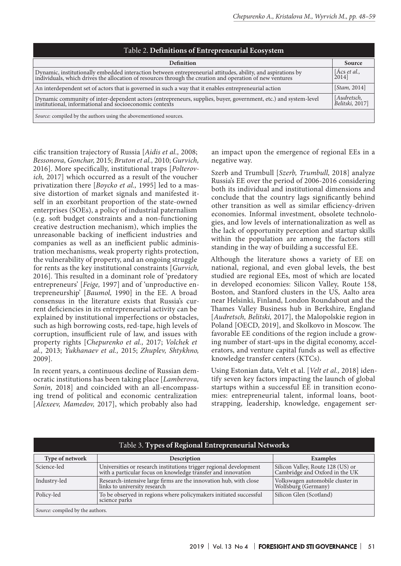| Table 2. Definitions of Entrepreneurial Ecosystem                                                                                                                                                                        |              |  |
|--------------------------------------------------------------------------------------------------------------------------------------------------------------------------------------------------------------------------|--------------|--|
| <b>Definition</b>                                                                                                                                                                                                        | Source       |  |
| Dynamic, institutionally embedded interaction between entrepreneurial attitudes, ability, and aspirations by<br>individuals, which drives the allocation of resources through the creation and operation of new ventures |              |  |
| An interdependent set of actors that is governed in such a way that it enables entrepreneurial action                                                                                                                    | [Stam, 2014] |  |
| Dynamic community of inter-dependent actors (entrepreneurs, supplies, buyer, government, etc.) and system-level<br>institutional, informational and socioeconomic contexts                                               |              |  |
| Source: compiled by the authors using the abovementioned sources.                                                                                                                                                        |              |  |

cific transition trajectory of Russia [*Aidis et al.,* 2008; *Bessonova, Gonchar,* 2015; *Bruton et al.,* 2010; *Gurvich,* 2016]. More specifically, institutional traps [*Polterovich,* 2017] which occurred as a result of the voucher privatization there [*Boycko et al.,* 1995] led to a massive distortion of market signals and manifested itself in an exorbitant proportion of the state-owned enterprises (SOEs), a policy of industrial paternalism (e.g. soft budget constraints and a non-functioning creative destruction mechanism), which implies the unreasonable backing of inefficient industries and companies as well as an inefficient public administration mechanisms, weak property rights protection, the vulnerability of property, and an ongoing struggle for rents as the key institutional constraints [*Gurvich,* 2016]. This resulted in a dominant role of 'predatory entrepreneurs' [*Feige,* 1997] and of 'unproductive entrepreneurship' [*Baumol,* 1990] in the EE. A broad consensus in the literature exists that Russia's current deficiencies in its entrepreneurial activity can be explained by institutional imperfections or obstacles, such as high borrowing costs, red-tape, high levels of corruption, insufficient rule of law, and issues with property rights [*Chepurenko et al.,* 2017; *Volchek et al.,* 2013; *Yukhanaev et al.,* 2015; *Zhuplev, Shtykhno,* 2009].

In recent years, a continuous decline of Russian democratic institutions has been taking place [*Lamberova, Sonin,* 2018] and coincided with an all-encompassing trend of political and economic centralization [*Alexeev, Mamedov,* 2017], which probably also had

an impact upon the emergence of regional EEs in a negative way.

Szerb and Trumbull [*Szerb, Trumbull,* 2018] analyze Russia's EE over the period of 2006-2016 considering both its individual and institutional dimensions and conclude that the country lags significantly behind other transition as well as similar efficiency-driven economies. Informal investment, obsolete technologies, and low levels of internationalization as well as the lack of opportunity perception and startup skills within the population are among the factors still standing in the way of building a successful EE.

Although the literature shows a variety of EE on national, regional, and even global levels, the best studied are regional EEs, most of which are located in developed economies: Silicon Valley, Route 158, Boston, and Stanford clusters in the US, Aalto area near Helsinki, Finland, London Roundabout and the Thames Valley Business hub in Berkshire, England [*Audretsch, Belitski,* 2017], the Malopolskie region in Poland [OECD, 2019], and Skolkovo in Moscow. The favorable EE conditions of the region include a growing number of start-ups in the digital economy, accelerators, and venture capital funds as well as effective knowledge transfer centers (KTCs).

Using Estonian data, Velt et al. [*Velt et al.,* 2018] identify seven key factors impacting the launch of global startups within a successful EE in transition economies: entrepreneurial talent, informal loans, bootstrapping, leadership, knowledge, engagement ser-

| Table 3. Types of Regional Entrepreneurial Networks |                                                                                                                                   |                                                                     |  |
|-----------------------------------------------------|-----------------------------------------------------------------------------------------------------------------------------------|---------------------------------------------------------------------|--|
| Type of network                                     | Description                                                                                                                       | <b>Examples</b>                                                     |  |
| Science-led                                         | Universities or research institutions trigger regional development with a particular focus on knowledge transfer and innovation   | Silicon Valley, Route 128 (US) or<br>Cambridge and Oxford in the UK |  |
| Industry-led                                        | $[{\rm Research\text{-}intensive\;large\; firms\; are\; the\;innovation\; hub, with\;close\; links\; to\; university\; research}$ | Volkswagen automobile cluster in<br>Wolfsburg (Germany)             |  |
| Policy-led                                          | To be observed in regions where policymakers initiated successful<br>science parks                                                | Silicon Glen (Scotland)                                             |  |
| Source: compiled by the authors.                    |                                                                                                                                   |                                                                     |  |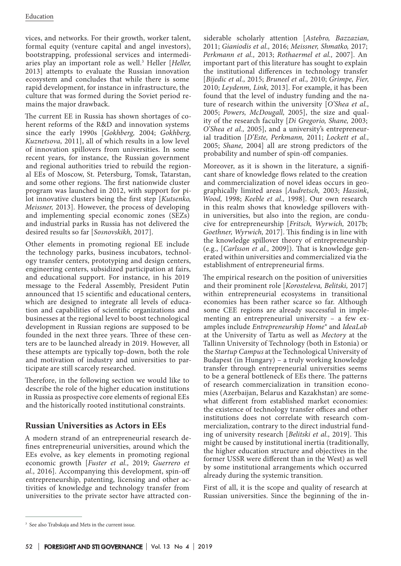vices, and networks. For their growth, worker talent, formal equity (venture capital and angel investors), bootstrapping, professional services and intermediaries play an important role as well.3 Heller [*Heller,* 2013] attempts to evaluate the Russian innovation ecosystem and concludes that while there is some rapid development, for instance in infrastructure, the culture that was formed during the Soviet period remains the major drawback.

The current EE in Russia has shown shortages of coherent reforms of the R&D and innovation systems since the early 1990s [*Gokhberg,* 2004; *Gokhberg, Kuznetsova,* 2011], all of which results in a low level of innovation spillovers from universities. In some recent years, for instance, the Russian government and regional authorities tried to rebuild the regional EEs of Moscow, St. Petersburg, Tomsk, Tatarstan, and some other regions. The first nationwide cluster program was launched in 2012, with support for pilot innovative clusters being the first step [*Kutsenko, Meissner,* 2013]. However, the process of developing and implementing special economic zones (SEZs) and industrial parks in Russia has not delivered the desired results so far [*Sosnovskikh,* 2017].

Other elements in promoting regional EE include the technology parks, business incubators, technology transfer centers, prototyping and design centers, engineering centers, subsidized participation at fairs, and educational support. For instance, in his 2019 message to the Federal Assembly, President Putin announced that 15 scientific and educational centers, which are designed to integrate all levels of education and capabilities of scientific organizations and businesses at the regional level to boost technological development in Russian regions are supposed to be founded in the next three years. Three of these centers are to be launched already in 2019. However, all these attempts are typically top-down, both the role and motivation of industry and universities to participate are still scarcely researched.

Therefore, in the following section we would like to describe the role of the higher education institutions in Russia as prospective core elements of regional EEs and the historically rooted institutional constraints.

# **Russian Universities as Actors in EEs**

A modern strand of an entrepreneurial research defines entrepreneurial universities, around which the EEs evolve, as key elements in promoting regional economic growth [*Fuster et al.,* 2019; *Guerrero et al.,* 2016]. Accompanying this development, spin-off entrepreneurship, patenting, licensing and other activities of knowledge and technology transfer from universities to the private sector have attracted considerable scholarly attention [*Astebro, Bazzazian,* 2011; *Gianiodis et al.,* 2016; *Meissner, Shmatko,* 2017; *Perkmann et al.,* 2013; *Rothaermel et al.,* 2007]. An important part of this literature has sought to explain the institutional differences in technology transfer [*Bijedic et al.,* 2015; *Bruneel et al.,* 2010; *Grimpe, Fier,* 2010; *Leydenm, Link,* 2013]. For example, it has been found that the level of industry funding and the nature of research within the university [*O'Shea et al.,* 2005; *Powers, McDougall,* 2005], the size and quality of the research faculty [*Di Gregorio, Shane,* 2003; *O'Shea et al.,* 2005], and a university's entrepreneurial tradition [*D'Este, Perkmann,* 2011; *Lockett et al.,* 2005; *Shane,* 2004] all are strong predictors of the probability and number of spin-off companies.

Moreover, as it is shown in the literature, a significant share of knowledge flows related to the creation and commercialization of novel ideas occurs in geographically limited areas [*Audretsch,* 2003; *Hassink*, *Wood,* 1998; *Keeble et al.,* 1998]. Our own research in this realm shows that knowledge spillovers within universities, but also into the region, are conducive for entrepreneurship [*Fritsch, Wyrwich,* 2017b; *Goethner, Wyrwich,* 2017]. This finding is in line with the knowledge spillover theory of entrepreneurship (e.g., [*Carlsson et al.,* 2009]). That is knowledge generated within universities and commercialized via the establishment of entrepreneurial firms.

The empirical research on the position of universities and their prominent role [*Korosteleva, Belitski,* 2017] within entrepreneurial ecosystems in transitional economies has been rather scarce so far. Although some CEE regions are already successful in implementing an entrepreneurial university – a few examples include *Entrepreneurship Home®* and *IdeaLab*  at the University of Tartu as well as *Mectory* at the Tallinn University of Technology (both in Estonia) or the *Startup Campus* at the Technological University of Budapest (in Hungary) – a truly working knowledge transfer through entrepreneurial universities seems to be a general bottleneck of EEs there. The patterns of research commercialization in transition economies (Azerbaijan, Belarus and Kazakhstan) are somewhat different from established market economies: the existence of technology transfer offices and other institutions does not correlate with research commercialization, contrary to the direct industrial funding of university research [*Belitski et al.,* 2019]. This might be caused by institutional inertia (traditionally, the higher education structure and objectives in the former USSR were different than in the West) as well by some institutional arrangements which occurred already during the systemic transition.

First of all, it is the scope and quality of research at Russian universities. Since the beginning of the in-

<sup>&</sup>lt;sup>3</sup> See also Trabskaja and Mets in the current issue.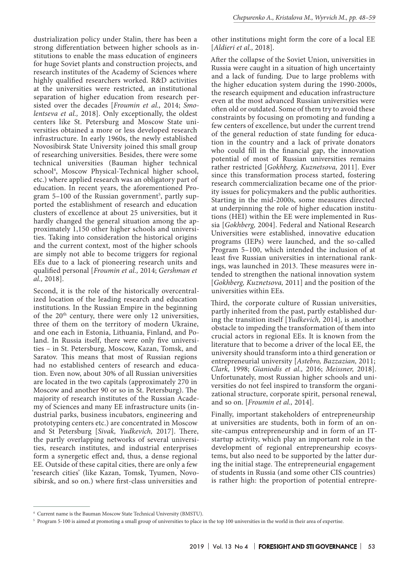dustrialization policy under Stalin, there has been a strong differentiation between higher schools as institutions to enable the mass education of engineers for huge Soviet plants and construction projects, and research institutes of the Academy of Sciences where highly qualified researchers worked. R&D activities at the universities were restricted, an institutional separation of higher education from research persisted over the decades [*Froumin et al.,* 2014; *Smolentseva et al.,* 2018]. Only exceptionally, the oldest centers like St. Petersburg and Moscow State universities obtained a more or less developed research infrastructure. In early 1960s, the newly established Novosibirsk State University joined this small group of researching universities. Besides, there were some technical universities (Bauman higher technical school4 , Moscow Physical-Technical higher school, etc.) where applied research was an obligatory part of education. In recent years, the aforementioned Program 5–100 of the Russian government<sup>5</sup>, partly supported the establishment of research and education clusters of excellence at about 25 universities, but it hardly changed the general situation among the approximately 1,150 other higher schools and universities. Taking into consideration the historical origins and the current context, most of the higher schools are simply not able to become triggers for regional EEs due to a lack of pioneering research units and qualified personal [*Froumin et al.,* 2014; *Gershman et al.,* 2018].

Second, it is the role of the historically overcentralized location of the leading research and education institutions. In the Russian Empire in the beginning of the  $20<sup>th</sup>$  century, there were only 12 universities, three of them on the territory of modern Ukraine, and one each in Estonia, Lithuania, Finland, and Poland. In Russia itself, there were only five universities – in St. Petersburg, Moscow, Kazan, Tomsk, and Saratov. This means that most of Russian regions had no established centers of research and education. Even now, about 30% of all Russian universities are located in the two capitals (approximately 270 in Moscow and another 90 or so in St. Petersburg). The majority of research institutes of the Russian Academy of Sciences and many EE infrastructure units (industrial parks, business incubators, engineering and prototyping centers etc.) are concentrated in Moscow and St Petersburg [*Sivak, Yudkevich,* 2017]. There, the partly overlapping networks of several universities, research institutes, and industrial enterprises form a synergetic effect and, thus, a dense regional EE. Outside of these capital cities, there are only a few 'research cities' (like Kazan, Tomsk, Tyumen, Novosibirsk, and so on.) where first-class universities and

other institutions might form the core of a local EE [*Aldieri et al.,* 2018].

After the collapse of the Soviet Union, universities in Russia were caught in a situation of high uncertainty and a lack of funding. Due to large problems with the higher education system during the 1990-2000s, the research equipment and education infrastructure even at the most advanced Russian universities were often old or outdated. Some of them try to avoid these constraints by focusing on promoting and funding a few centers of excellence, but under the current trend of the general reduction of state funding for education in the country and a lack of private donators who could fill in the financial gap, the innovation potential of most of Russian universities remains rather restricted [*Gokhberg, Kuznetsova,* 2011]. Ever since this transformation process started, fostering research commercialization became one of the priority issues for policymakers and the public authorities. Starting in the mid-2000s, some measures directed at underpinning the role of higher education institutions (HEI) within the EE were implemented in Russia [*Gokhberg,* 2004]. Federal and National Research Universities were established, innovative education programs (IEPs) were launched, and the so-called Program 5–100, which intended the inclusion of at least five Russian universities in international rankings, was launched in 2013. These measures were intended to strengthen the national innovation system [*Gokhberg, Kuznetsova,* 2011] and the position of the universities within EEs.

Third, the corporate culture of Russian universities, partly inherited from the past, partly established during the transition itself [*Yudkevich,* 2014], is another obstacle to impeding the transformation of them into crucial actors in regional EEs. It is known from the literature that to become a driver of the local EE, the university should transform into a third generation or entrepreneurial university [*Astebro, Bazzazian,* 2011; *Clark,* 1998; *Gianiodis et al.,* 2016; *Meissner,* 2018]. Unfortunately, most Russian higher schools and universities do not feel inspired to transform the organizational structure, corporate spirit, personal renewal, and so on. [*Froumin et al.,* 2014].

Finally, important stakeholders of entrepreneurship at universities are students, both in form of an onsite-campus entrepreneurship and in form of an ITstartup activity, which play an important role in the development of regional entrepreneurship ecosystems, but also need to be supported by the latter during the initial stage. The entrepreneurial engagement of students in Russia (and some other CIS countries) is rather high: the proportion of potential entrepre-

<sup>4</sup> Current name is the Bauman Moscow State Technical University (BMSTU).

 $^{\rm 5}$  Program 5-100 is aimed at promoting a small group of universities to place in the top 100 universities in the world in their area of expertise.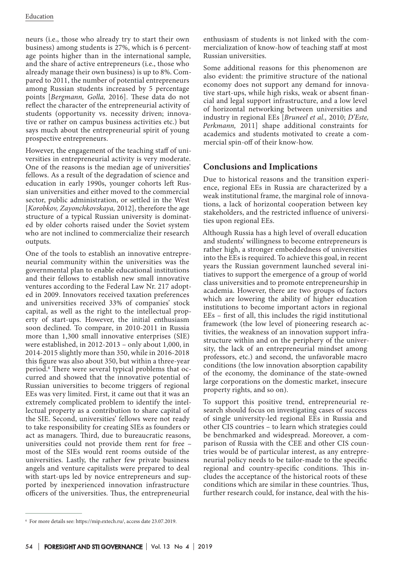neurs (i.e., those who already try to start their own business) among students is 27%, which is 6 percentage points higher than in the international sample, and the share of active entrepreneurs (i.e., those who already manage their own business) is up to 8%. Compared to 2011, the number of potential entrepreneurs among Russian students increased by 5 percentage points [*Bergmann, Golla,* 2016]. These data do not reflect the character of the entrepreneurial activity of students (opportunity vs. necessity driven; innovative or rather on campus business activities etc.) but says much about the entrepreneurial spirit of young prospective entrepreneurs.

However, the engagement of the teaching staff of universities in entrepreneurial activity is very moderate. One of the reasons is the median age of universities' fellows. As a result of the degradation of science and education in early 1990s, younger cohorts left Russian universities and either moved to the commercial sector, public administration, or settled in the West [*Korobkov, Zayonchkovskaya,* 2012], therefore the age structure of a typical Russian university is dominated by older cohorts raised under the Soviet system who are not inclined to commercialize their research outputs.

One of the tools to establish an innovative entrepreneurial community within the universities was the governmental plan to enable educational institutions and their fellows to establish new small innovative ventures according to the Federal Law Nr. 217 adopted in 2009. Innovators received taxation preferences and universities received 33% of companies' stock capital, as well as the right to the intellectual property of start-ups. However, the initial enthusiasm soon declined. To compare, in 2010-2011 in Russia more than 1,300 small innovative enterprises (SIE) were established, in 2012-2013 – only about 1,000, in 2014-2015 slightly more than 350, while in 2016-2018 this figure was also about 350, but within a three-year period.6 There were several typical problems that occurred and showed that the innovative potential of Russian universities to become triggers of regional EEs was very limited. First, it came out that it was an extremely complicated problem to identify the intellectual property as a contribution to share capital of the SIE. Second, universities' fellows were not ready to take responsibility for creating SIEs as founders or act as managers. Third, due to bureaucratic reasons, universities could not provide them rent for free – most of the SIEs would rent rooms outside of the universities. Lastly, the rather few private business angels and venture capitalists were prepared to deal with start-ups led by novice entrepreneurs and supported by inexperienced innovation infrastructure officers of the universities. Thus, the entrepreneurial

enthusiasm of students is not linked with the commercialization of know-how of teaching staff at most Russian universities.

Some additional reasons for this phenomenon are also evident: the primitive structure of the national economy does not support any demand for innovative start-ups, while high risks, weak or absent financial and legal support infrastructure, and a low level of horizontal networking between universities and industry in regional EEs [*Bruneel et al.,* 2010; *D'Este, Perkmann,* 2011] shape additional constraints for academics and students motivated to create a commercial spin-off of their know-how.

# **Conclusions and Implications**

Due to historical reasons and the transition experience, regional EEs in Russia are characterized by a weak institutional frame, the marginal role of innovations, a lack of horizontal cooperation between key stakeholders, and the restricted influence of universities upon regional EEs.

Although Russia has a high level of overall education and students' willingness to become entrepreneurs is rather high, a stronger embeddedness of universities into the EEs is required. To achieve this goal, in recent years the Russian government launched several initiatives to support the emergence of a group of world class universities and to promote entrepreneurship in academia. However, there are two groups of factors which are lowering the ability of higher education institutions to become important actors in regional EEs – first of all, this includes the rigid institutional framework (the low level of pioneering research activities, the weakness of an innovation support infrastructure within and on the periphery of the university, the lack of an entrepreneurial mindset among professors, etc.) and second, the unfavorable macro conditions (the low innovation absorption capability of the economy, the dominance of the state-owned large corporations on the domestic market, insecure property rights, and so on).

To support this positive trend, entrepreneurial research should focus on investigating cases of success of single university-led regional EEs in Russia and other CIS countries – to learn which strategies could be benchmarked and widespread. Moreover, a comparison of Russia with the CEE and other CIS countries would be of particular interest, as any entrepreneurial policy needs to be tailor-made to the specific regional and country-specific conditions. This includes the acceptance of the historical roots of these conditions which are similar in these countries. Thus, further research could, for instance, deal with the his-

<sup>6</sup> For more details see: https://mip.extech.ru/, access date 23.07.2019.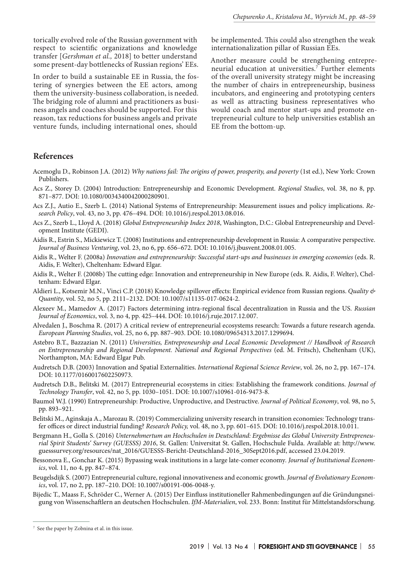torically evolved role of the Russian government with respect to scientific organizations and knowledge transfer [*Gershman et al.,* 2018] to better understand some present-day bottlenecks of Russian regions' EEs.

In order to build a sustainable EE in Russia, the fostering of synergies between the EE actors, among them the university-business collaboration, is needed. The bridging role of alumni and practitioners as business angels and coaches should be supported. For this reason, tax reductions for business angels and private venture funds, including international ones, should

be implemented. This could also strengthen the weak internationalization pillar of Russian EEs.

Another measure could be strengthening entrepreneurial education at universities.7 Further elements of the overall university strategy might be increasing the number of chairs in entrepreneurship, business incubators, and engineering and prototyping centers as well as attracting business representatives who would coach and mentor start-ups and promote entrepreneurial culture to help universities establish an EE from the bottom-up.

#### **References**

- Acemoglu D., Robinson J.A. (2012) *Why nations fail: The origins of power, prosperity, and poverty* (1st ed.), New York: Crown Publishers.
- Acs Z., Storey D. (2004) Introduction: Entrepreneurship and Economic Development. *Regional Studies*, vol. 38, no 8, pp. 871–877. DOI: 10.1080/0034340042000280901.
- Acs Z.J., Autio E., Szerb L. (2014) National Systems of Entrepreneurship: Measurement issues and policy implications. *Research Policy*, vol. 43, no 3, pp. 476–494. DOI: 10.1016/j.respol.2013.08.016.
- Acs Z., Szerb L., Lloyd A. (2018) *Global Entrepreneurship Index 2018*, Washington, D.C.: Global Entrepreneurship and Development Institute (GEDI).
- Aidis R., Estrin S., Mickiewicz T. (2008) Institutions and entrepreneurship development in Russia: A comparative perspective. *Journal of Business Venturing*, vol. 23, no 6, pp. 656–672. DOI: 10.1016/j.jbusvent.2008.01.005.
- Aidis R., Welter F. (2008a) *Innovation and entrepreneurship: Successful start-ups and businesses in emerging economies* (eds. R. Aidis, F. Welter), Cheltenham: Edward Elgar.
- Aidis R., Welter F. (2008b) The cutting edge: Innovation and entrepreneurship in New Europe (eds. R. Aidis, F. Welter), Cheltenham: Edward Elgar.
- Aldieri L., Kotsemir M.N., Vinci C.P. (2018) Knowledge spillover effects: Empirical evidence from Russian regions. *Quality & Quantity*, vol. 52, no 5, pp. 2111–2132. DOI: 10.1007/s11135-017-0624-2.
- Alexeev M., Mamedov A. (2017) Factors determining intra-regional fiscal decentralization in Russia and the US. *Russian Journal of Economics*, vol. 3, no 4, pp. 425–444. DOI: 10.1016/j.ruje.2017.12.007.
- Alvedalen J., Boschma R. (2017) A critical review of entrepreneurial ecosystems research: Towards a future research agenda. *European Planning Studies*, vol. 25, no 6, pp. 887–903. DOI: 10.1080/09654313.2017.1299694.
- Astebro B.T., Bazzazian N. (2011) *Universities, Entrepreneurship and Local Economic Development // Handbook of Research on Entrepreneurship and Regional Development. National and Regional Perspectives* (ed. M. Fritsch), Cheltenham (UK), Northampton, MA: Edward Elgar Pub.
- Audretsch D.B. (2003) Innovation and Spatial Externalities. *International Regional Science Review*, vol. 26, no 2, pp. 167–174. DOI: 10.1177/0160017602250973.
- Audretsch D.B., Belitski M. (2017) Entrepreneurial ecosystems in cities: Establishing the framework conditions. *Journal of Technology Transfer*, vol. 42, no 5, pp. 1030–1051. DOI: 10.1007/s10961-016-9473-8.
- Baumol W.J. (1990) Entrepreneurship: Productive, Unproductive, and Destructive. *Journal of Political Economy*, vol. 98, no 5, pp. 893–921.
- Belitski M., Aginskaja A., Marozau R. (2019) Commercializing university research in transition economies: Technology transfer offices or direct industrial funding? *Research Policy,* vol. 48, no 3, pp. 601–615. DOI: 10.1016/j.respol.2018.10.011.
- Bergmann H., Golla S. (2016) *Unternehmertum an Hochschulen in Deutschland: Ergebnisse des Global University Entrepreneurial Spirit Students' Survey (GUESSS) 2016*, St. Gallen: Universitat St. Gallen, Hochschule Fulda. Available at: http://www. guesssurvey.org/resources/nat\_2016/GUESSS-Bericht-Deutschland-2016\_30Sept2016.pdf, accessed 23.04.2019.
- Bessonova E., Gonchar K. (2015) Bypassing weak institutions in a large late-comer economy*. Journal of Institutional Economics*, vol. 11, no 4, pp. 847–874.
- Beugelsdijk S. (2007) Entrepreneurial culture, regional innovativeness and economic growth. *Journal of Evolutionary Economics*, vol. 17, no 2, pp. 187–210. DOI: 10.1007/s00191-006-0048-y.
- Bijedic T., Maass F., Schröder C., Werner A. (2015) Der Einfluss institutioneller Rahmenbedingungen auf die Gründungsneigung von Wissenschaftlern an deutschen Hochschulen. *IfM-Materialien*, vol. 233. Bonn: Institut für Mittelstandsforschung.

<sup>7</sup> See the paper by Zobnina et al. in this issue.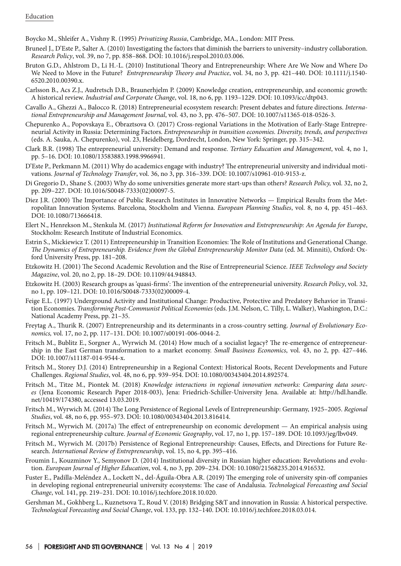Boycko M., Shleifer A., Vishny R. (1995) *Privatizing Russia*, Cambridge, MA., London: MIT Press.

- Bruneel J., D'Este P., Salter A. (2010) Investigating the factors that diminish the barriers to university–industry collaboration. *Research Policy*, vol. 39, no 7, pp. 858–868. DOI: 10.1016/j.respol.2010.03.006.
- Bruton G.D., Ahlstrom D., Li H.-L. (2010) Institutional Theory and Entrepreneurship: Where Are We Now and Where Do We Need to Move in the Future? *Entrepreneurship Theory and Practice*, vol. 34, no 3, pp. 421–440. DOI: 10.1111/j.1540- 6520.2010.00390.x.
- Carlsson B., Acs Z.J., Audretsch D.B., Braunerhjelm P. (2009) Knowledge creation, entrepreneurship, and economic growth: A historical review. *Industrial and Corporate Change*, vol. 18, no 6, pp. 1193–1229. DOI: 10.1093/icc/dtp043.
- Cavallo A., Ghezzi A., Balocco R. (2018) Entrepreneurial ecosystem research: Present debates and future directions. *International Entrepreneurship and Management Journal*, vol. 43, no 3, pp. 476–507. DOI: 10.1007/s11365-018-0526-3.
- Chepurenko A., Popovskaya E., Obraztsova O. (2017) Cross-regional Variations in the Motivation of Early-Stage Entrepreneurial Activity in Russia: Determining Factors. *Entrepreneurship in transition economies. Diversity, trends, and perspectives* (eds. A. Sauka, A. Chepurenko), vol. 23, Heidelberg, Dordrecht, London, New York: Springer, pp. 315–342.
- Clark B.R. (1998) The entrepreneurial university: Demand and response. *Tertiary Education and Management*, vol. 4, no 1, pp. 5–16. DOI: 10.1080/13583883.1998.9966941.
- D'Este P., Perkmann M. (2011) Why do academics engage with industry? The entrepreneurial university and individual motivations. *Journal of Technology Transfer*, vol. 36, no 3, pp. 316–339. DOI: 10.1007/s10961-010-9153-z.
- Di Gregorio D., Shane S. (2003) Why do some universities generate more start-ups than others? *Research Policy,* vol. 32, no 2, pp. 209–227. DOI: 10.1016/S0048-7333(02)00097-5.
- Diez J.R. (2000) The Importance of Public Research Institutes in Innovative Networks Empirical Results from the Metropolitan Innovation Systems. Barcelona, Stockholm and Vienna. *European Planning Studies*, vol. 8, no 4, pp. 451–463. DOI: 10.1080/713666418.
- Elert N., Henrekson M., Stenkula M. (2017) *Institutional Reform for Innovation and Entrepreneurship: An Agenda for Europe*, Stockholm: Research Institute of Industrial Economics.
- Estrin S., Mickiewicz T. (2011) Entrepreneurship in Transition Economies: The Role of Institutions and Generational Change. *The Dynamics of Entrepreneurship. Evidence from the Global Entrepreneurship Monitor Data* (ed. M. Minniti), Oxford: Oxford University Press, pp. 181–208.
- Etzkowitz H. (2001) The Second Academic Revolution and the Rise of Entrepreneurial Science. *IEEE Technology and Society Magazine*, vol. 20, no 2, pp. 18–29. DOI: 10.1109/44.948843.
- Etzkowitz H. (2003) Research groups as 'quasi-firms': The invention of the entrepreneurial university. *Research Policy*, vol. 32, no 1, pp. 109–121. DOI: 10.1016/S0048-7333(02)00009-4.
- Feige E.L. (1997) Underground Activity and Institutional Change: Productive, Protective and Predatory Behavior in Transition Economies. *Transforming Post-Communist Political Economies* (eds. J.M. Nelson, C. Tilly, L. Walker), Washington, D.C.: National Academy Press, pp. 21–35.
- Freytag A., Thurik R. (2007) Entrepreneurship and its determinants in a cross-country setting. *Journal of Evolutionary Economics,* vol. 17, no 2, pp. 117–131. DOI: 10.1007/s00191-006-0044-2.
- Fritsch M., Bublitz E., Sorgner A., Wyrwich M. (2014) How much of a socialist legacy? The re-emergence of entrepreneurship in the East German transformation to a market economy. *Small Business Economics*, vol. 43, no 2, pp. 427–446. DOI: 10.1007/s11187-014-9544-x.
- Fritsch M., Storey D.J. (2014) Entrepreneurship in a Regional Context: Historical Roots, Recent Developments and Future Challenges. *Regional Studies*, vol. 48, no 6, pp. 939–954. DOI: 10.1080/00343404.2014.892574.
- Fritsch M., Titze M., Piontek M. (2018) *Knowledge interactions in regional innovation networks: Comparing data sources* (Jena Economic Research Paper 2018-003), Jena: Friedrich-Schiller-University Jena. Available at: http://hdl.handle. net/10419/174380, accessed 13.03.2019.
- Fritsch M., Wyrwich M. (2014) The Long Persistence of Regional Levels of Entrepreneurship: Germany, 1925–2005. *Regional Studies*, vol. 48, no 6, pp. 955–973. DOI: 10.1080/00343404.2013.816414.
- Fritsch M., Wyrwich M. (2017a) The effect of entrepreneurship on economic development An empirical analysis using regional entrepreneurship culture. *Journal of Economic Geography*, vol. 17, no 1, pp. 157–189. DOI: 10.1093/jeg/lbv049.
- Fritsch M., Wyrwich M. (2017b) Persistence of Regional Entrepreneurship: Causes, Effects, and Directions for Future Research. *International Review of Entrepreneurship*, vol. 15, no 4, pp. 395–416.
- Froumin I., Kouzminov Y., Semyonov D. (2014) Institutional diversity in Russian higher education: Revolutions and evolution. *European Journal of Higher Education*, vol. 4, no 3, pp. 209–234. DOI: 10.1080/21568235.2014.916532.
- Fuster E., Padilla-Meléndez A., Lockett N., del-Águila-Obra A.R. (2019) The emerging role of university spin-off companies in developing regional entrepreneurial university ecosystems: The case of Andalusia. *Technological Forecasting and Social Change*, vol. 141, pp. 219–231. DOI: 10.1016/j.techfore.2018.10.020.
- Gershman M., Gokhberg L., Kuznetsova T., Roud V. (2018) Bridging S&T and innovation in Russia: A historical perspective. *Technological Forecasting and Social Change*, vol. 133, pp. 132–140. DOI: 10.1016/j.techfore.2018.03.014.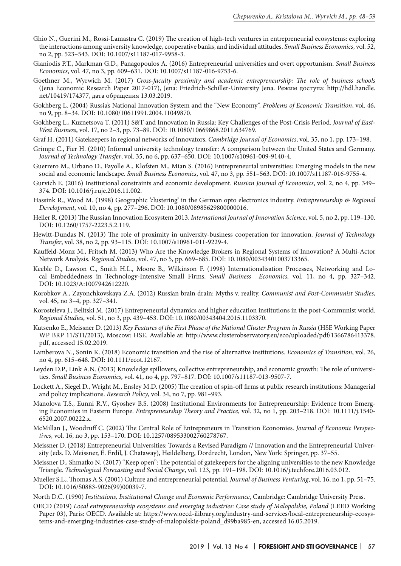- Ghio N., Guerini M., Rossi-Lamastra C. (2019) The creation of high-tech ventures in entrepreneurial ecosystems: exploring the interactions among university knowledge, cooperative banks, and individual attitudes. *Small Business Economics*, vol. 52, no 2, pp. 523–543. DOI: 10.1007/s11187-017-9958-3.
- Gianiodis P.T., Markman G.D., Panagopoulos A. (2016) Entrepreneurial universities and overt opportunism. *Small Business Economics*, vol. 47, no 3, pp. 609–631. DOI: 10.1007/s11187-016-9753-6.
- Goethner M., Wyrwich M. (2017) *Cross-faculty proximity and academic entrepreneurship: The role of business schools* (Jena Economic Research Paper 2017-017), Jena: Friedrich-Schiller-University Jena. Режим доступа: http://hdl.handle. net/10419/174377, дата обращения 13.03.2019.
- Gokhberg L. (2004) Russia's National Innovation System and the "New Economy". *Problems of Economic Transition*, vol. 46, no 9, pp. 8–34. DOI: 10.1080/10611991.2004.11049870.
- Gokhberg L., Kuznetsova T. (2011) S&T and Innovation in Russia: Key Challenges of the Post-Crisis Period. *Journal of East-West Business*, vol. 17, no 2–3, pp. 73–89. DOI: 10.1080/10669868.2011.634769.
- Graf H. (2011) Gatekeepers in regional networks of innovators. *Cambridge Journal of Economics*, vol. 35, no 1, pp. 173–198.
- Grimpe C., Fier H. (2010) Informal university technology transfer: A comparison between the United States and Germany. *Journal of Technology Transfer*, vol. 35, no 6, pp. 637–650. DOI: 10.1007/s10961-009-9140-4.
- Guerrero M., Urbano D., Fayolle A., Klofsten M., Mian S. (2016) Entrepreneurial universities: Emerging models in the new social and economic landscape. *Small Business Economics*, vol. 47, no 3, pp. 551–563. DOI: 10.1007/s11187-016-9755-4.
- Gurvich E. (2016) Institutional constraints and economic development. *Russian Journal of Economics*, vol. 2, no 4, pp. 349– 374. DOI: 10.1016/j.ruje.2016.11.002.
- Hassink R., Wood M. (1998) Geographic 'clustering' in the German opto electronics industry. *Entrepreneurship & Regional Development*, vol. 10, no 4, pp. 277–296. DOI: 10.1080/08985629800000016.
- Heller R. (2013) The Russian Innovation Ecosystem 2013. *International Journal of Innovation Science*, vol. 5, no 2, pp. 119–130. DOI: 10.1260/1757-2223.5.2.119.
- Hewitt-Dundas N. (2013) The role of proximity in university-business cooperation for innovation. *Journal of Technology Transfer*, vol. 38, no 2, pp. 93–115. DOI: 10.1007/s10961-011-9229-4.
- Kauffeld-Monz M., Fritsch M. (2013) Who Are the Knowledge Brokers in Regional Systems of Innovation? A Multi-Actor Network Analysis. *Regional Studies*, vol. 47, no 5, pp. 669–685. DOI: 10.1080/00343401003713365.
- Keeble D., Lawson C., Smith H.L., Moore B., Wilkinson F. (1998) Internationalisation Processes, Networking and Local Embeddedness in Technology-Intensive Small Firms. *Small Business Economics,* vol. 11, no 4, pp. 327–342. DOI: 10.1023/A:1007942612220.
- Korobkov A., Zayonchkovskaya Z.A. (2012) Russian brain drain: Myths v. reality. *Communist and Post-Communist Studies*, vol. 45, no 3–4, pp. 327–341.
- Korosteleva J., Belitski M. (2017) Entrepreneurial dynamics and higher education institutions in the post-Communist world. *Regional Studies*, vol. 51, no 3, pp. 439–453. DOI: 10.1080/00343404.2015.1103370.
- Kutsenko E., Meissner D. (2013) *Key Features of the First Phase of the National Cluster Program in Russia* (HSE Working Paper WP BRP 11/STI/2013), Moscow: HSE. Available at: http://www.clusterobservatory.eu/eco/uploaded/pdf/1366786413378. pdf, accessed 15.02.2019.
- Lamberova N., Sonin K. (2018) Economic transition and the rise of alternative institutions. *Economics of Transition*, vol. 26, no 4, pp. 615–648. DOI: 10.1111/ecot.12167.
- Leyden D.P., Link A.N. (2013) Knowledge spillovers, collective entrepreneurship, and economic growth: The role of universities. *Small Business Economics*, vol. 41, no 4, pp. 797–817. DOI: 10.1007/s11187-013-9507-7.
- Lockett A., Siegel D., Wright M., Ensley M.D. (2005) The creation of spin-off firms at public research institutions: Managerial and policy implications. *Research Policy*, vol. 34, no 7, pp. 981–993.
- Manolova T.S., Eunni R.V., Gyoshev B.S. (2008) Institutional Environments for Entrepreneurship: Evidence from Emerging Economies in Eastern Europe. *Entrepreneurship Theory and Practice*, vol. 32, no 1, pp. 203–218. DOI: 10.1111/j.1540- 6520.2007.00222.x.
- McMillan J., Woodruff C. (2002) The Central Role of Entrepreneurs in Transition Economies. *Journal of Economic Perspectives*, vol. 16, no 3, pp. 153–170. DOI: 10.1257/089533002760278767.
- Meissner D. (2018) Entrepreneurial Universities: Towards a Revised Paradigm // Innovation and the Entrepreneurial University (eds. D. Meissner, E. Erdil, J. Chataway), Heildelberg, Dordrecht, London, New York: Springer, pp. 37–55.
- Meissner D., Shmatko N. (2017) "Keep open": The potential of gatekeepers for the aligning universities to the new Knowledge Triangle. *Technological Forecasting and Social Change*, vol. 123, pp. 191–198. DOI: 10.1016/j.techfore.2016.03.012.
- Mueller S.L., Thomas A.S. (2001) Culture and entrepreneurial potential. *Journal of Business Venturing*, vol. 16, no 1, pp. 51–75. DOI: 10.1016/S0883-9026(99)00039-7.
- North D.C. (1990) *Institutions, Institutional Change and Economic Performance*, Cambridge: Cambridge University Press.
- OECD (2019) Local entrepreneurship ecosystems and emerging industries: Case study of Malopolskie, Poland (LEED Working Paper 03), Paris: OECD. Available at: https://www.oecd-ilibrary.org/industry-and-services/local-entrepreneurship-ecosystems-and-emerging-industries-case-study-of-malopolskie-poland\_d99ba985-en, accessed 16.05.2019.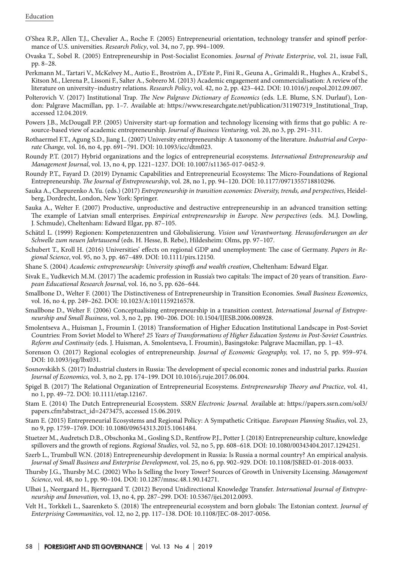- O'Shea R.P., Allen T.J., Chevalier A., Roche F. (2005) Entrepreneurial orientation, technology transfer and spinoff performance of U.S. universities. *Research Policy*, vol. 34, no 7, pp. 994–1009.
- Ovaska T., Sobel R. (2005) Entrepreneurship in Post-Socialist Economies. *Journal of Private Enterprise*, vol. 21, issue Fall, pp. 8–28.
- Perkmann M., Tartari V., McKelvey M., Autio E., Broström A., D'Este P., Fini R., Geuna A., Grimaldi R., Hughes A., Krabel S., Kitson M., Llerena P., Lissoni F., Salter A., Sobrero M. (2013) Academic engagement and commercialisation: A review of the literature on university–industry relations. *Research Policy*, vol. 42, no 2, pp. 423–442. DOI: 10.1016/j.respol.2012.09.007.
- Polterovich V. (2017) Institutional Trap*. The New Palgrave Dictionary of Economics* (eds. L.E. Blume, S.N. Durlauf), London: Palgrave Macmillan, pp. 1–7. Available at: https://www.researchgate.net/publication/311907319\_Institutional\_Trap, accessed 12.04.2019.
- Powers J.B., McDougall P.P. (2005) University start-up formation and technology licensing with firms that go public: A resource-based view of academic entrepreneurship. *Journal of Business Venturing,* vol. 20, no 3, pp. 291–311.
- Rothaermel F.T., Agung S.D., Jiang L. (2007) University entrepreneurship: A taxonomy of the literature. *Industrial and Corporate Change,* vol. 16, no 4, pp. 691–791. DOI: 10.1093/icc/dtm023.
- Roundy P.T. (2017) Hybrid organizations and the logics of entrepreneurial ecosystems. *International Entrepreneurship and Management Journal*, vol. 13, no 4, pp. 1221–1237. DOI: 10.1007/s11365-017-0452-9.
- Roundy P.T., Fayard D. (2019) Dynamic Capabilities and Entrepreneurial Ecosystems: The Micro-Foundations of Regional Entrepreneurship. *The Journal of Entrepreneurship*, vol. 28, no 1, pp. 94–120. DOI: 10.1177/0971355718810296.
- Sauka A., Chepurenko A.Yu. (eds.) (2017) *Entrepreneurship in transition economies: Diversity, trends, and perspectives*, Heidelberg, Dordrecht, London, New York: Springer.
- Sauka A., Welter F. (2007) Productive, unproductive and destructive entrepreneurship in an advanced transition setting: The example of Latvian small enterprises. *Empirical entrepreneurship in Europe. New perspectives* (eds. M.J. Dowling, J. Schmude), Cheltenham: Edward Elgar, pp. 87–105.
- Schätzl L. (1999) Regionen: Kompetenzzentren und Globalisierung. *Vision und Verantwortung. Herausforderungen an der Schwelle zum neuen Jahrtausend* (eds. H. Hesse, B. Rebe), Hildesheim: Olms, pp. 97–107.
- Schubert T., Kroll H. (2016) Universities' effects on regional GDP and unemployment: The case of Germany. *Papers in Regional Science*, vol. 95, no 3, pp. 467–489. DOI: 10.1111/pirs.12150.
- Shane S. (2004) *Academic entrepreneurship: University spinoffs and wealth creation*, Cheltenham: Edward Elgar.
- Sivak E., Yudkevich M.M. (2017) The academic profession in Russia's two capitals: The impact of 20 years of transition. *European Educational Research Journal*, vol. 16, no 5, pp. 626–644.
- Smallbone D., Welter F. (2001) The Distinctiveness of Entrepreneurship in Transition Economies. *Small Business Economics*, vol. 16, no 4, pp. 249–262. DOI: 10.1023/A:1011159216578.
- Smallbone D., Welter F. (2006) Conceptualising entrepreneurship in a transition context. *International Journal of Entrepreneurship and Small Business*, vol. 3, no 2, pp. 190–206. DOI: 10.1504/IJESB.2006.008928.
- Smolentseva A., Huisman J., Froumin I. (2018) Transformation of Higher Education Institutional Landscape in Post-Soviet Countries: From Soviet Model to Where? *25 Years of Transformations of Higher Education Systems in Post-Soviet Countries. Reform and Continuity* (eds. J. Huisman, A. Smolentseva, I. Froumin), Basingstoke: Palgrave Macmillan, pp. 1–43.
- Sorenson O. (2017) Regional ecologies of entrepreneurship. *Journal of Economic Geography,* vol. 17, no 5, pp. 959–974. DOI: 10.1093/jeg/lbx031.
- Sosnovskikh S. (2017) Industrial clusters in Russia: The development of special economic zones and industrial parks. *Russian Journal of Economics,* vol. 3, no 2, pp. 174–199. DOI 10.1016/j.ruje.2017.06.004.
- Spigel B. (2017) The Relational Organization of Entrepreneurial Ecosystems. *Entrepreneurship Theory and Practice*, vol. 41, no 1, pp. 49–72. DOI: 10.1111/etap.12167.
- Stam E. (2014) The Dutch Entrepreneurial Ecosystem. *SSRN Electronic Journal.* Available at: https://papers.ssrn.com/sol3/ papers.cfm?abstract\_id=2473475, accessed 15.06.2019.
- Stam E. (2015) Entrepreneurial Ecosystems and Regional Policy: A Sympathetic Critique. *European Planning Studies*, vol. 23, no 9, pp. 1759–1769. DOI: 10.1080/09654313.2015.1061484.
- Stuetzer M., Audretsch D.B., Obschonka M., Gosling S.D., Rentfrow P.J., Potter J. (2018) Entrepreneurship culture, knowledge spillovers and the growth of regions. *Regional Studies*, vol. 52, no 5, pp. 608–618. DOI: 10.1080/00343404.2017.1294251.
- Szerb L., Trumbull W.N. (2018) Entrepreneurship development in Russia: Is Russia a normal country? An empirical analysis. *Journal of Small Business and Enterprise Development*, vol. 25, no 6, pp. 902–929. DOI: 10.1108/JSBED-01-2018-0033.
- Thursby J.G., Thursby M.C. (2002) Who Is Selling the Ivory Tower? Sources of Growth in University Licensing. *Management Science*, vol. 48, no 1, pp. 90–104. DOI: 10.1287/mnsc.48.1.90.14271.
- Ulhøi J., Neergaard H., Bjerregaard T. (2012) Beyond Unidirectional Knowledge Transfer. *International Journal of Entrepreneurship and Innovation*, vol. 13, no 4, pp. 287–299. DOI: 10.5367/ijei.2012.0093.
- Velt H., Torkkeli L., Saarenketo S. (2018) The entrepreneurial ecosystem and born globals: The Estonian context. *Journal of Enterprising Communities*, vol. 12, no 2, pp. 117–138. DOI: 10.1108/JEC-08-2017-0056.